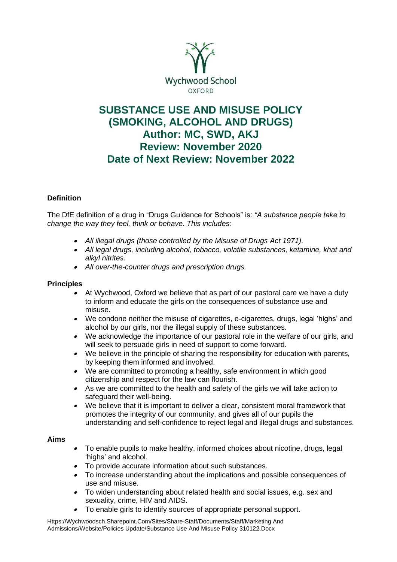

# **SUBSTANCE USE AND MISUSE POLICY (SMOKING, ALCOHOL AND DRUGS) Author: MC, SWD, AKJ Review: November 2020 Date of Next Review: November 2022**

## **Definition**

The DfE definition of a drug in "Drugs Guidance for Schools" is: *"A substance people take to change the way they feel, think or behave. This includes:* 

- *All illegal drugs (those controlled by the Misuse of Drugs Act 1971).*
- *All legal drugs, including alcohol, tobacco, volatile substances, ketamine, khat and alkyl nitrites.*
- *All over-the-counter drugs and prescription drugs.*

## **Principles**

- At Wychwood, Oxford we believe that as part of our pastoral care we have a duty to inform and educate the girls on the consequences of substance use and misuse.
- We condone neither the misuse of cigarettes, e-cigarettes, drugs, legal 'highs' and alcohol by our girls, nor the illegal supply of these substances.
- • We acknowledge the importance of our pastoral role in the welfare of our girls, and will seek to persuade girls in need of support to come forward.
- We believe in the principle of sharing the responsibility for education with parents, by keeping them informed and involved.
- We are committed to promoting a healthy, safe environment in which good citizenship and respect for the law can flourish.
- As we are committed to the health and safety of the girls we will take action to safeguard their well-being.
- We believe that it is important to deliver a clear, consistent moral framework that promotes the integrity of our community, and gives all of our pupils the understanding and self-confidence to reject legal and illegal drugs and substances.

## **Aims**

- • To enable pupils to make healthy, informed choices about nicotine, drugs, legal 'highs' and alcohol.
- To provide accurate information about such substances.
- To increase understanding about the implications and possible consequences of use and misuse.
- To widen understanding about related health and social issues, e.g. sex and sexuality, crime, HIV and AIDS.
- •To enable girls to identify sources of appropriate personal support.

Https://Wychwoodsch.Sharepoint.Com/Sites/Share-Staff/Documents/Staff/Marketing And Admissions/Website/Policies Update/Substance Use And Misuse Policy 310122.Docx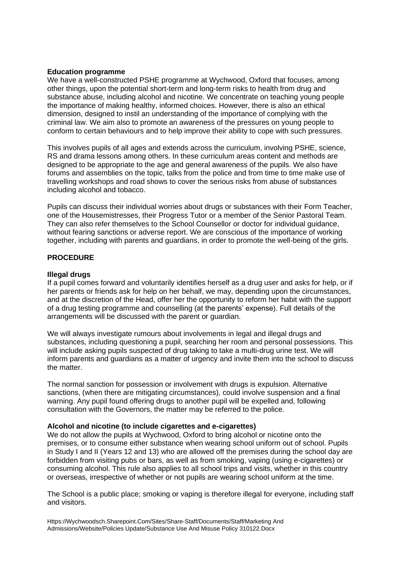#### **Education programme**

We have a well-constructed PSHE programme at Wychwood, Oxford that focuses, among other things, upon the potential short-term and long-term risks to health from drug and substance abuse, including alcohol and nicotine. We concentrate on teaching young people the importance of making healthy, informed choices. However, there is also an ethical dimension, designed to instil an understanding of the importance of complying with the criminal law. We aim also to promote an awareness of the pressures on young people to conform to certain behaviours and to help improve their ability to cope with such pressures.

This involves pupils of all ages and extends across the curriculum, involving PSHE, science, RS and drama lessons among others. In these curriculum areas content and methods are designed to be appropriate to the age and general awareness of the pupils. We also have forums and assemblies on the topic, talks from the police and from time to time make use of travelling workshops and road shows to cover the serious risks from abuse of substances including alcohol and tobacco.

Pupils can discuss their individual worries about drugs or substances with their Form Teacher, one of the Housemistresses, their Progress Tutor or a member of the Senior Pastoral Team. They can also refer themselves to the School Counsellor or doctor for individual guidance, without fearing sanctions or adverse report. We are conscious of the importance of working together, including with parents and guardians, in order to promote the well-being of the girls.

## **PROCEDURE**

## **Illegal drugs**

If a pupil comes forward and voluntarily identifies herself as a drug user and asks for help, or if her parents or friends ask for help on her behalf, we may, depending upon the circumstances, and at the discretion of the Head, offer her the opportunity to reform her habit with the support of a drug testing programme and counselling (at the parents' expense). Full details of the arrangements will be discussed with the parent or guardian.

We will always investigate rumours about involvements in legal and illegal drugs and substances, including questioning a pupil, searching her room and personal possessions. This will include asking pupils suspected of drug taking to take a multi-drug urine test. We will inform parents and guardians as a matter of urgency and invite them into the school to discuss the matter.

The normal sanction for possession or involvement with drugs is expulsion. Alternative sanctions, (when there are mitigating circumstances), could involve suspension and a final warning. Any pupil found offering drugs to another pupil will be expelled and, following consultation with the Governors, the matter may be referred to the police.

## **Alcohol and nicotine (to include cigarettes and e-cigarettes)**

We do not allow the pupils at Wychwood, Oxford to bring alcohol or nicotine onto the premises, or to consume either substance when wearing school uniform out of school. Pupils in Study I and II (Years 12 and 13) who are allowed off the premises during the school day are forbidden from visiting pubs or bars, as well as from smoking, vaping (using e-cigarettes) or consuming alcohol. This rule also applies to all school trips and visits, whether in this country or overseas, irrespective of whether or not pupils are wearing school uniform at the time.

The School is a public place; smoking or vaping is therefore illegal for everyone, including staff and visitors.